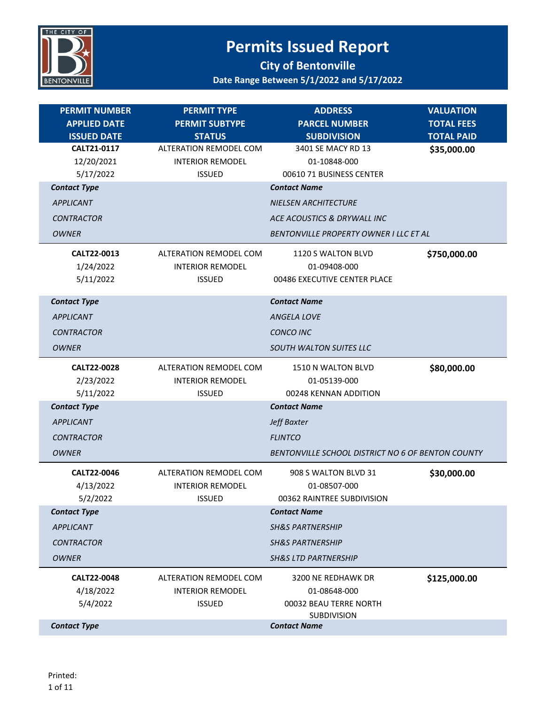

| <b>PERMIT NUMBER</b>  | <b>PERMIT TYPE</b>                       | <b>ADDRESS</b>                                    | <b>VALUATION</b>  |
|-----------------------|------------------------------------------|---------------------------------------------------|-------------------|
| <b>APPLIED DATE</b>   | <b>PERMIT SUBTYPE</b>                    | <b>PARCEL NUMBER</b>                              | <b>TOTAL FEES</b> |
| <b>ISSUED DATE</b>    | <b>STATUS</b>                            | <b>SUBDIVISION</b>                                | <b>TOTAL PAID</b> |
| CALT21-0117           | <b>ALTERATION REMODEL COM</b>            | 3401 SE MACY RD 13                                | \$35,000.00       |
| 12/20/2021            | <b>INTERIOR REMODEL</b>                  | 01-10848-000                                      |                   |
| 5/17/2022             | <b>ISSUED</b>                            | 00610 71 BUSINESS CENTER                          |                   |
| <b>Contact Type</b>   |                                          | <b>Contact Name</b>                               |                   |
| <b>APPLICANT</b>      |                                          | <b>NIELSEN ARCHITECTURE</b>                       |                   |
| <b>CONTRACTOR</b>     |                                          | ACE ACOUSTICS & DRYWALL INC                       |                   |
| <b>OWNER</b>          |                                          | BENTONVILLE PROPERTY OWNER I LLC ET AL            |                   |
| CALT22-0013           | <b>ALTERATION REMODEL COM</b>            | 1120 S WALTON BLVD                                | \$750,000.00      |
| 1/24/2022             | <b>INTERIOR REMODEL</b>                  | 01-09408-000                                      |                   |
| 5/11/2022             | <b>ISSUED</b>                            | 00486 EXECUTIVE CENTER PLACE                      |                   |
| <b>Contact Type</b>   |                                          | <b>Contact Name</b>                               |                   |
| <b>APPLICANT</b>      |                                          | <b>ANGELA LOVE</b>                                |                   |
| <b>CONTRACTOR</b>     |                                          | <b>CONCO INC</b>                                  |                   |
| <b>OWNER</b>          |                                          | <b>SOUTH WALTON SUITES LLC</b>                    |                   |
| CALT22-0028           | ALTERATION REMODEL COM                   | 1510 N WALTON BLVD                                | \$80,000.00       |
| 2/23/2022             | <b>INTERIOR REMODEL</b>                  | 01-05139-000                                      |                   |
| 5/11/2022             | <b>ISSUED</b>                            | 00248 KENNAN ADDITION                             |                   |
| <b>Contact Type</b>   |                                          | <b>Contact Name</b>                               |                   |
| <b>APPLICANT</b>      |                                          | Jeff Baxter                                       |                   |
| <b>CONTRACTOR</b>     |                                          | <b>FLINTCO</b>                                    |                   |
| <b>OWNER</b>          |                                          | BENTONVILLE SCHOOL DISTRICT NO 6 OF BENTON COUNTY |                   |
|                       |                                          |                                                   |                   |
| CALT22-0046           | ALTERATION REMODEL COM                   | 908 S WALTON BLVD 31<br>01-08507-000              | \$30,000.00       |
| 4/13/2022<br>5/2/2022 | <b>INTERIOR REMODEL</b><br><b>ISSUED</b> | 00362 RAINTREE SUBDIVISION                        |                   |
| <b>Contact Type</b>   |                                          | <b>Contact Name</b>                               |                   |
| <b>APPLICANT</b>      |                                          | <b>SH&amp;S PARTNERSHIP</b>                       |                   |
| <b>CONTRACTOR</b>     |                                          | <b>SH&amp;S PARTNERSHIP</b>                       |                   |
|                       |                                          |                                                   |                   |
| <b>OWNER</b>          |                                          | <b>SH&amp;S LTD PARTNERSHIP</b>                   |                   |
| CALT22-0048           | <b>ALTERATION REMODEL COM</b>            | 3200 NE REDHAWK DR                                | \$125,000.00      |
| 4/18/2022             | <b>INTERIOR REMODEL</b>                  | 01-08648-000                                      |                   |
| 5/4/2022              | <b>ISSUED</b>                            | 00032 BEAU TERRE NORTH<br><b>SUBDIVISION</b>      |                   |
| <b>Contact Type</b>   |                                          | <b>Contact Name</b>                               |                   |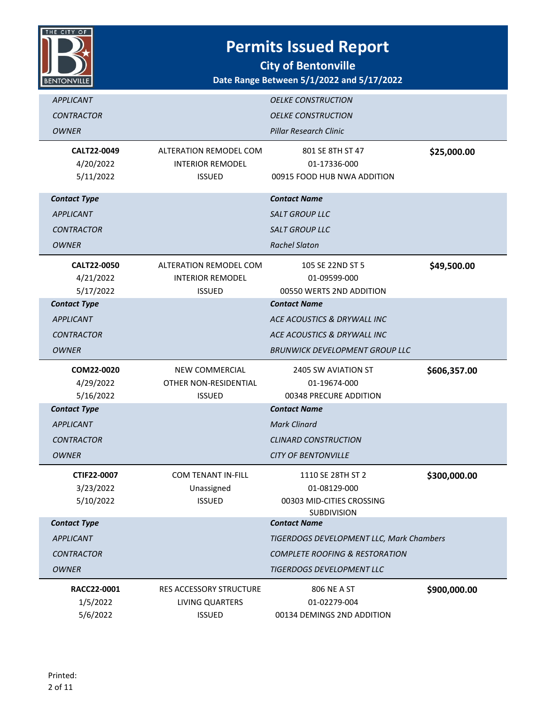

| <b>APPLICANT</b><br><b>CONTRACTOR</b><br><b>OWNER</b>                        |                                                                           | <b>OELKE CONSTRUCTION</b><br><b>OELKE CONSTRUCTION</b><br><b>Pillar Research Clinic</b>                                    |              |
|------------------------------------------------------------------------------|---------------------------------------------------------------------------|----------------------------------------------------------------------------------------------------------------------------|--------------|
| CALT22-0049<br>4/20/2022<br>5/11/2022                                        | ALTERATION REMODEL COM<br><b>INTERIOR REMODEL</b><br><b>ISSUED</b>        | 801 SE 8TH ST 47<br>01-17336-000<br>00915 FOOD HUB NWA ADDITION                                                            | \$25,000.00  |
| <b>Contact Type</b><br><b>APPLICANT</b><br><b>CONTRACTOR</b><br><b>OWNER</b> |                                                                           | <b>Contact Name</b><br><b>SALT GROUP LLC</b><br>SALT GROUP LLC<br><b>Rachel Slaton</b>                                     |              |
| CALT22-0050<br>4/21/2022<br>5/17/2022                                        | <b>ALTERATION REMODEL COM</b><br><b>INTERIOR REMODEL</b><br><b>ISSUED</b> | 105 SE 22ND ST 5<br>01-09599-000<br>00550 WERTS 2ND ADDITION                                                               | \$49,500.00  |
| <b>Contact Type</b><br><b>APPLICANT</b><br><b>CONTRACTOR</b><br><b>OWNER</b> |                                                                           | <b>Contact Name</b><br>ACE ACOUSTICS & DRYWALL INC<br>ACE ACOUSTICS & DRYWALL INC<br><b>BRUNWICK DEVELOPMENT GROUP LLC</b> |              |
| COM22-0020<br>4/29/2022<br>5/16/2022                                         | NEW COMMERCIAL<br>OTHER NON-RESIDENTIAL<br><b>ISSUED</b>                  | 2405 SW AVIATION ST<br>01-19674-000<br>00348 PRECURE ADDITION                                                              | \$606,357.00 |
| <b>Contact Type</b><br><b>APPLICANT</b><br><b>CONTRACTOR</b><br><b>OWNER</b> |                                                                           | <b>Contact Name</b><br><b>Mark Clinard</b><br><b>CLINARD CONSTRUCTION</b><br><b>CITY OF BENTONVILLE</b>                    |              |
| CTIF22-0007<br>3/23/2022<br>5/10/2022                                        | <b>COM TENANT IN-FILL</b><br>Unassigned<br><b>ISSUED</b>                  | 1110 SE 28TH ST 2<br>01-08129-000<br>00303 MID-CITIES CROSSING<br>SUBDIVISION                                              | \$300,000.00 |
| <b>Contact Type</b><br><b>APPLICANT</b><br><b>CONTRACTOR</b>                 |                                                                           | <b>Contact Name</b><br>TIGERDOGS DEVELOPMENT LLC, Mark Chambers<br><b>COMPLETE ROOFING &amp; RESTORATION</b>               |              |
| <b>OWNER</b>                                                                 |                                                                           | <b>TIGERDOGS DEVELOPMENT LLC</b>                                                                                           |              |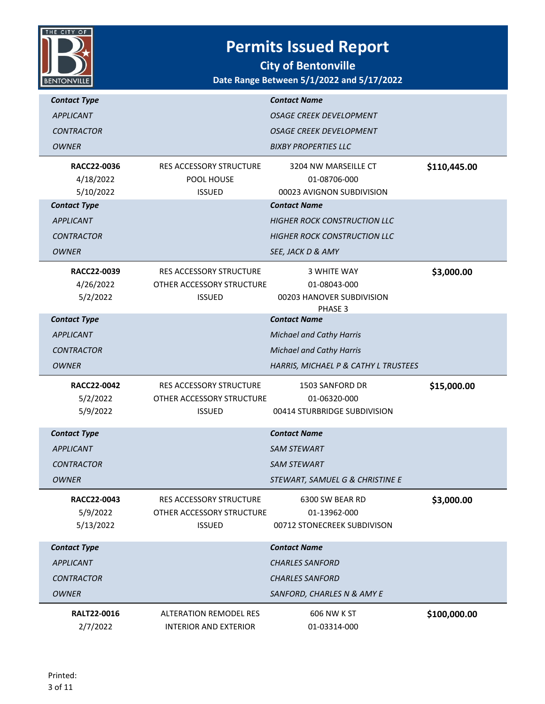

| <b>Contact Type</b><br><b>APPLICANT</b>    |                                                                              | <b>Contact Name</b><br><b>OSAGE CREEK DEVELOPMENT</b>                      |              |
|--------------------------------------------|------------------------------------------------------------------------------|----------------------------------------------------------------------------|--------------|
| <b>CONTRACTOR</b>                          |                                                                              | OSAGE CREEK DEVELOPMENT                                                    |              |
| <b>OWNER</b>                               |                                                                              | <b>BIXBY PROPERTIES LLC</b>                                                |              |
| RACC22-0036<br>4/18/2022<br>5/10/2022      | <b>RES ACCESSORY STRUCTURE</b><br>POOL HOUSE<br><b>ISSUED</b>                | 3204 NW MARSEILLE CT<br>01-08706-000<br>00023 AVIGNON SUBDIVISION          | \$110,445.00 |
| <b>Contact Type</b>                        |                                                                              | <b>Contact Name</b>                                                        |              |
| <b>APPLICANT</b>                           |                                                                              | <b>HIGHER ROCK CONSTRUCTION LLC</b>                                        |              |
| <b>CONTRACTOR</b>                          |                                                                              | <b>HIGHER ROCK CONSTRUCTION LLC</b>                                        |              |
| <b>OWNER</b>                               |                                                                              | SEE, JACK D & AMY                                                          |              |
| RACC22-0039<br>4/26/2022<br>5/2/2022       | RES ACCESSORY STRUCTURE<br>OTHER ACCESSORY STRUCTURE<br><b>ISSUED</b>        | <b>3 WHITE WAY</b><br>01-08043-000<br>00203 HANOVER SUBDIVISION<br>PHASE 3 | \$3,000.00   |
| <b>Contact Type</b>                        |                                                                              | <b>Contact Name</b>                                                        |              |
| <b>APPLICANT</b>                           |                                                                              | <b>Michael and Cathy Harris</b>                                            |              |
| <b>CONTRACTOR</b>                          |                                                                              | <b>Michael and Cathy Harris</b>                                            |              |
| <b>OWNER</b>                               |                                                                              | HARRIS, MICHAEL P & CATHY L TRUSTEES                                       |              |
| <b>RACC22-0042</b><br>5/2/2022<br>5/9/2022 | <b>RES ACCESSORY STRUCTURE</b><br>OTHER ACCESSORY STRUCTURE<br><b>ISSUED</b> | 1503 SANFORD DR<br>01-06320-000<br>00414 STURBRIDGE SUBDIVISION            | \$15,000.00  |
| <b>Contact Type</b>                        |                                                                              | <b>Contact Name</b>                                                        |              |
| <b>APPLICANT</b>                           |                                                                              | <b>SAM STEWART</b>                                                         |              |
| <b>CONTRACTOR</b>                          |                                                                              | <b>SAM STEWART</b>                                                         |              |
| OWNER                                      |                                                                              | STEWART, SAMUEL G & CHRISTINE E                                            |              |
| RACC22-0043<br>5/9/2022<br>5/13/2022       | <b>RES ACCESSORY STRUCTURE</b><br>OTHER ACCESSORY STRUCTURE<br><b>ISSUED</b> | 6300 SW BEAR RD<br>01-13962-000<br>00712 STONECREEK SUBDIVISON             | \$3,000.00   |
| <b>Contact Type</b>                        |                                                                              | <b>Contact Name</b>                                                        |              |
| <b>APPLICANT</b>                           |                                                                              | <b>CHARLES SANFORD</b>                                                     |              |
| <b>CONTRACTOR</b>                          |                                                                              | <b>CHARLES SANFORD</b>                                                     |              |
| <b>OWNER</b>                               |                                                                              | SANFORD, CHARLES N & AMY E                                                 |              |
| <b>RALT22-0016</b><br>2/7/2022             | <b>ALTERATION REMODEL RES</b><br><b>INTERIOR AND EXTERIOR</b>                | 606 NW K ST<br>01-03314-000                                                | \$100,000.00 |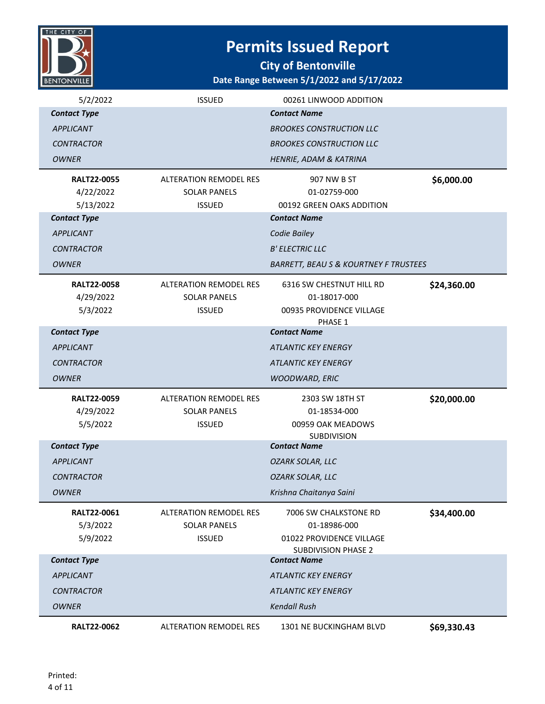

**City of Bentonville**

| Date Range Between 5/1/2022 and 5/17/2022 |  |  |
|-------------------------------------------|--|--|
|-------------------------------------------|--|--|

| 5/2/2022            | <b>ISSUED</b>                 | 00261 LINWOOD ADDITION                            |             |
|---------------------|-------------------------------|---------------------------------------------------|-------------|
| <b>Contact Type</b> |                               | <b>Contact Name</b>                               |             |
| <b>APPLICANT</b>    |                               | <b>BROOKES CONSTRUCTION LLC</b>                   |             |
| <b>CONTRACTOR</b>   |                               | <b>BROOKES CONSTRUCTION LLC</b>                   |             |
| <b>OWNER</b>        |                               | HENRIE, ADAM & KATRINA                            |             |
| <b>RALT22-0055</b>  | <b>ALTERATION REMODEL RES</b> | 907 NW B ST                                       | \$6,000.00  |
| 4/22/2022           | <b>SOLAR PANELS</b>           | 01-02759-000                                      |             |
| 5/13/2022           | <b>ISSUED</b>                 | 00192 GREEN OAKS ADDITION                         |             |
| <b>Contact Type</b> |                               | <b>Contact Name</b>                               |             |
| <b>APPLICANT</b>    |                               | Codie Bailey                                      |             |
| <b>CONTRACTOR</b>   |                               | <b>B' ELECTRIC LLC</b>                            |             |
| <b>OWNER</b>        |                               | <b>BARRETT, BEAU S &amp; KOURTNEY F TRUSTEES</b>  |             |
| <b>RALT22-0058</b>  | <b>ALTERATION REMODEL RES</b> | 6316 SW CHESTNUT HILL RD                          | \$24,360.00 |
| 4/29/2022           | <b>SOLAR PANELS</b>           | 01-18017-000                                      |             |
| 5/3/2022            | <b>ISSUED</b>                 | 00935 PROVIDENCE VILLAGE                          |             |
| <b>Contact Type</b> |                               | PHASE 1<br><b>Contact Name</b>                    |             |
| <b>APPLICANT</b>    |                               | <b>ATLANTIC KEY ENERGY</b>                        |             |
| <b>CONTRACTOR</b>   |                               | <b>ATLANTIC KEY ENERGY</b>                        |             |
| <b>OWNER</b>        |                               | WOODWARD, ERIC                                    |             |
|                     |                               |                                                   |             |
| <b>RALT22-0059</b>  | <b>ALTERATION REMODEL RES</b> | 2303 SW 18TH ST                                   | \$20,000.00 |
| 4/29/2022           | <b>SOLAR PANELS</b>           | 01-18534-000                                      |             |
| 5/5/2022            | <b>ISSUED</b>                 | 00959 OAK MEADOWS<br>SUBDIVISION                  |             |
| <b>Contact Type</b> |                               | <b>Contact Name</b>                               |             |
| <b>APPLICANT</b>    |                               | <b>OZARK SOLAR, LLC</b>                           |             |
| <b>CONTRACTOR</b>   |                               | <b>OZARK SOLAR, LLC</b>                           |             |
| <b>OWNER</b>        |                               | Krishna Chaitanya Saini                           |             |
| <b>RALT22-0061</b>  | <b>ALTERATION REMODEL RES</b> | 7006 SW CHALKSTONE RD                             | \$34,400.00 |
| 5/3/2022            | <b>SOLAR PANELS</b>           | 01-18986-000                                      |             |
| 5/9/2022            | <b>ISSUED</b>                 | 01022 PROVIDENCE VILLAGE                          |             |
| <b>Contact Type</b> |                               | <b>SUBDIVISION PHASE 2</b><br><b>Contact Name</b> |             |
| <b>APPLICANT</b>    |                               | <b>ATLANTIC KEY ENERGY</b>                        |             |
| <b>CONTRACTOR</b>   |                               | <b>ATLANTIC KEY ENERGY</b>                        |             |
| <b>OWNER</b>        |                               | <b>Kendall Rush</b>                               |             |
| <b>RALT22-0062</b>  | <b>ALTERATION REMODEL RES</b> | 1301 NE BUCKINGHAM BLVD                           | \$69,330.43 |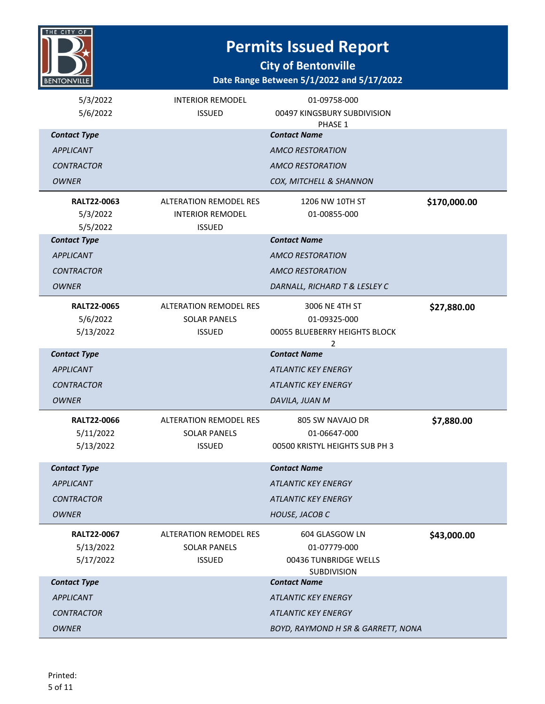

**City of Bentonville**

#### **Date Range Between 5/1/2022 and 5/17/2022**

| 5/3/2022<br>5/6/2022            | <b>INTERIOR REMODEL</b><br><b>ISSUED</b>             | 01-09758-000<br>00497 KINGSBURY SUBDIVISION |              |
|---------------------------------|------------------------------------------------------|---------------------------------------------|--------------|
|                                 |                                                      | PHASE 1                                     |              |
| <b>Contact Type</b>             |                                                      | <b>Contact Name</b>                         |              |
| <b>APPLICANT</b>                |                                                      | <b>AMCO RESTORATION</b>                     |              |
| <b>CONTRACTOR</b>               |                                                      | <b>AMCO RESTORATION</b>                     |              |
| <b>OWNER</b>                    |                                                      | COX, MITCHELL & SHANNON                     |              |
| <b>RALT22-0063</b>              | <b>ALTERATION REMODEL RES</b>                        | 1206 NW 10TH ST                             | \$170,000.00 |
| 5/3/2022                        | <b>INTERIOR REMODEL</b>                              | 01-00855-000                                |              |
| 5/5/2022                        | <b>ISSUED</b>                                        |                                             |              |
| <b>Contact Type</b>             |                                                      | <b>Contact Name</b>                         |              |
| <b>APPLICANT</b>                |                                                      | <b>AMCO RESTORATION</b>                     |              |
| <b>CONTRACTOR</b>               |                                                      | <b>AMCO RESTORATION</b>                     |              |
| <b>OWNER</b>                    |                                                      | DARNALL, RICHARD T & LESLEY C               |              |
| <b>RALT22-0065</b>              | <b>ALTERATION REMODEL RES</b>                        | 3006 NE 4TH ST                              | \$27,880.00  |
| 5/6/2022                        | <b>SOLAR PANELS</b>                                  | 01-09325-000                                |              |
| 5/13/2022                       | <b>ISSUED</b>                                        | 00055 BLUEBERRY HEIGHTS BLOCK               |              |
|                                 |                                                      | 2                                           |              |
| <b>Contact Type</b>             |                                                      | <b>Contact Name</b>                         |              |
| <b>APPLICANT</b>                |                                                      | <b>ATLANTIC KEY ENERGY</b>                  |              |
| <b>CONTRACTOR</b>               |                                                      | <b>ATLANTIC KEY ENERGY</b>                  |              |
| <b>OWNER</b>                    |                                                      | DAVILA, JUAN M                              |              |
| <b>RALT22-0066</b>              | <b>ALTERATION REMODEL RES</b>                        | 805 SW NAVAJO DR                            | \$7,880.00   |
| 5/11/2022                       | <b>SOLAR PANELS</b>                                  | 01-06647-000                                |              |
| 5/13/2022                       | <b>ISSUED</b>                                        | 00500 KRISTYL HEIGHTS SUB PH 3              |              |
| <b>Contact Type</b>             |                                                      | <b>Contact Name</b>                         |              |
| <b>APPLICANT</b>                |                                                      | <b>ATLANTIC KEY ENERGY</b>                  |              |
| <b>CONTRACTOR</b>               |                                                      | <b>ATLANTIC KEY ENERGY</b>                  |              |
| <b>OWNER</b>                    |                                                      | HOUSE, JACOB C                              |              |
|                                 |                                                      |                                             |              |
| <b>RALT22-0067</b><br>5/13/2022 | <b>ALTERATION REMODEL RES</b><br><b>SOLAR PANELS</b> | 604 GLASGOW LN                              | \$43,000.00  |
| 5/17/2022                       | <b>ISSUED</b>                                        | 01-07779-000<br>00436 TUNBRIDGE WELLS       |              |
|                                 |                                                      | <b>SUBDIVISION</b>                          |              |
| <b>Contact Type</b>             |                                                      | <b>Contact Name</b>                         |              |
|                                 |                                                      |                                             |              |
| <b>APPLICANT</b>                |                                                      | <b>ATLANTIC KEY ENERGY</b>                  |              |
| <b>CONTRACTOR</b>               |                                                      | <b>ATLANTIC KEY ENERGY</b>                  |              |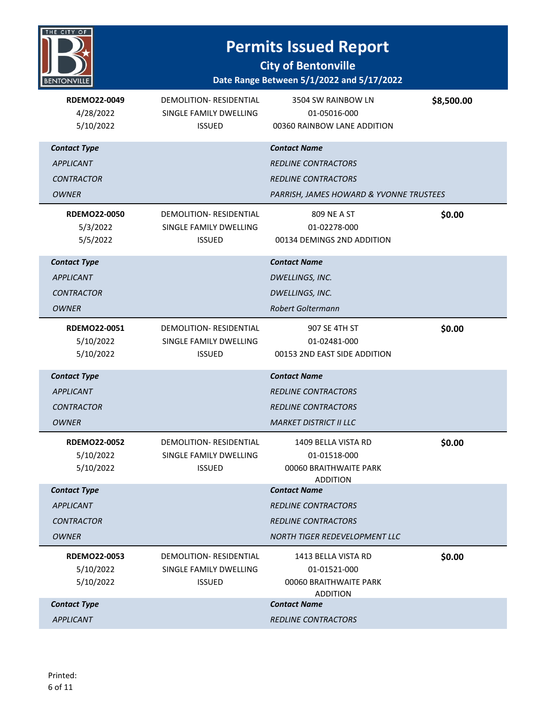# THE CITY OF **BENTONVILLE**

### **Permits Issued Report**

| <b>RDEMO22-0049</b><br>4/28/2022<br>5/10/2022 | DEMOLITION-RESIDENTIAL<br>SINGLE FAMILY DWELLING<br><b>ISSUED</b> | 3504 SW RAINBOW LN<br>01-05016-000<br>00360 RAINBOW LANE ADDITION | \$8,500.00 |
|-----------------------------------------------|-------------------------------------------------------------------|-------------------------------------------------------------------|------------|
| <b>Contact Type</b>                           |                                                                   | <b>Contact Name</b>                                               |            |
| <b>APPLICANT</b>                              |                                                                   | <b>REDLINE CONTRACTORS</b>                                        |            |
| <b>CONTRACTOR</b>                             |                                                                   | <b>REDLINE CONTRACTORS</b>                                        |            |
| <b>OWNER</b>                                  |                                                                   | PARRISH, JAMES HOWARD & YVONNE TRUSTEES                           |            |
| <b>RDEMO22-0050</b>                           | DEMOLITION-RESIDENTIAL                                            | 809 NE A ST                                                       | \$0.00     |
| 5/3/2022                                      | SINGLE FAMILY DWELLING                                            | 01-02278-000                                                      |            |
| 5/5/2022                                      | <b>ISSUED</b>                                                     | 00134 DEMINGS 2ND ADDITION                                        |            |
| <b>Contact Type</b>                           |                                                                   | <b>Contact Name</b>                                               |            |
| <b>APPLICANT</b>                              |                                                                   | DWELLINGS, INC.                                                   |            |
| <b>CONTRACTOR</b>                             |                                                                   | DWELLINGS, INC.                                                   |            |
| <b>OWNER</b>                                  |                                                                   | Robert Goltermann                                                 |            |
| <b>RDEMO22-0051</b>                           | DEMOLITION- RESIDENTIAL                                           | 907 SE 4TH ST                                                     | \$0.00     |
| 5/10/2022                                     | SINGLE FAMILY DWELLING                                            | 01-02481-000                                                      |            |
| 5/10/2022                                     | <b>ISSUED</b>                                                     | 00153 2ND EAST SIDE ADDITION                                      |            |
| <b>Contact Type</b>                           |                                                                   | <b>Contact Name</b>                                               |            |
| <b>APPLICANT</b>                              |                                                                   | <b>REDLINE CONTRACTORS</b>                                        |            |
| <b>CONTRACTOR</b>                             |                                                                   | <b>REDLINE CONTRACTORS</b>                                        |            |
| <b>OWNER</b>                                  |                                                                   | <b>MARKET DISTRICT II LLC</b>                                     |            |
| <b>RDEMO22-0052</b>                           | <b>DEMOLITION- RESIDENTIAL</b>                                    | 1409 BELLA VISTA RD                                               | \$0.00     |
| 5/10/2022                                     | SINGLE FAMILY DWELLING                                            | 01-01518-000                                                      |            |
| 5/10/2022                                     | <b>ISSUED</b>                                                     | 00060 BRAITHWAITE PARK<br><b>ADDITION</b>                         |            |
| <b>Contact Type</b>                           |                                                                   | <b>Contact Name</b>                                               |            |
| <b>APPLICANT</b>                              |                                                                   | <b>REDLINE CONTRACTORS</b>                                        |            |
| <b>CONTRACTOR</b>                             |                                                                   | <b>REDLINE CONTRACTORS</b>                                        |            |
| <b>OWNER</b>                                  |                                                                   | NORTH TIGER REDEVELOPMENT LLC                                     |            |
| <b>RDEMO22-0053</b>                           | DEMOLITION-RESIDENTIAL                                            | 1413 BELLA VISTA RD                                               | \$0.00     |
| 5/10/2022                                     | SINGLE FAMILY DWELLING                                            | 01-01521-000                                                      |            |
| 5/10/2022                                     | <b>ISSUED</b>                                                     | 00060 BRAITHWAITE PARK<br><b>ADDITION</b>                         |            |
| <b>Contact Type</b>                           |                                                                   | <b>Contact Name</b>                                               |            |
| <b>APPLICANT</b>                              |                                                                   | <b>REDLINE CONTRACTORS</b>                                        |            |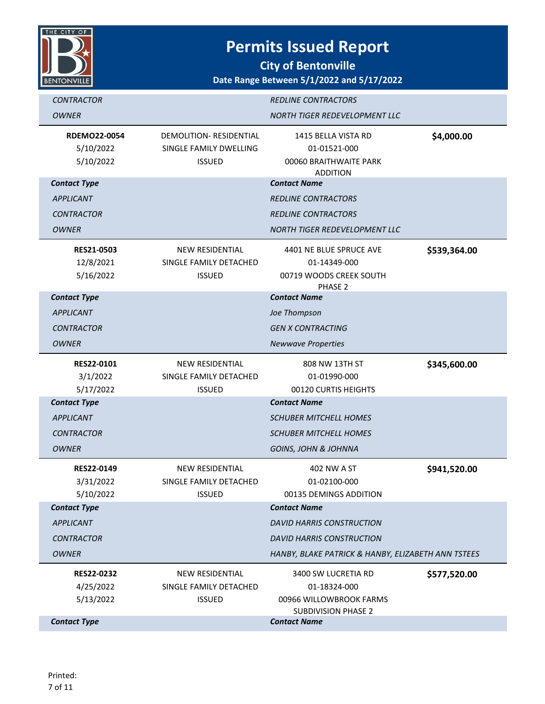

| <b>CONTRACTOR</b>                                                 |                                                                           | <b>REDLINE CONTRACTORS</b>                                                                   |              |
|-------------------------------------------------------------------|---------------------------------------------------------------------------|----------------------------------------------------------------------------------------------|--------------|
| <b>OWNER</b>                                                      |                                                                           | NORTH TIGER REDEVELOPMENT LLC                                                                |              |
| <b>RDEMO22-0054</b><br>5/10/2022<br>5/10/2022                     | <b>DEMOLITION- RESIDENTIAL</b><br>SINGLE FAMILY DWELLING<br><b>ISSUED</b> | 1415 BELLA VISTA RD<br>01-01521-000<br>00060 BRAITHWAITE PARK<br><b>ADDITION</b>             | \$4,000.00   |
| <b>Contact Type</b>                                               |                                                                           | <b>Contact Name</b>                                                                          |              |
| <b>APPLICANT</b>                                                  |                                                                           | <b>REDLINE CONTRACTORS</b>                                                                   |              |
| <b>CONTRACTOR</b>                                                 |                                                                           | <b>REDLINE CONTRACTORS</b>                                                                   |              |
| <b>OWNER</b>                                                      |                                                                           | <b>NORTH TIGER REDEVELOPMENT LLC</b>                                                         |              |
| <b>RES21-0503</b><br>12/8/2021<br>5/16/2022                       | <b>NEW RESIDENTIAL</b><br>SINGLE FAMILY DETACHED<br><b>ISSUED</b>         | 4401 NE BLUE SPRUCE AVE<br>01-14349-000<br>00719 WOODS CREEK SOUTH<br>PHASE 2                | \$539,364.00 |
| <b>Contact Type</b>                                               |                                                                           | <b>Contact Name</b>                                                                          |              |
| <b>APPLICANT</b>                                                  |                                                                           | Joe Thompson                                                                                 |              |
| <b>CONTRACTOR</b>                                                 |                                                                           | <b>GEN X CONTRACTING</b>                                                                     |              |
| <b>OWNER</b>                                                      |                                                                           | <b>Newwave Properties</b>                                                                    |              |
| <b>RES22-0101</b><br>3/1/2022<br>5/17/2022<br><b>Contact Type</b> | <b>NEW RESIDENTIAL</b><br>SINGLE FAMILY DETACHED<br><b>ISSUED</b>         | 808 NW 13TH ST<br>01-01990-000<br>00120 CURTIS HEIGHTS<br><b>Contact Name</b>                | \$345,600.00 |
| <b>APPLICANT</b>                                                  |                                                                           | <b>SCHUBER MITCHELL HOMES</b>                                                                |              |
| <b>CONTRACTOR</b>                                                 |                                                                           | <b>SCHUBER MITCHELL HOMES</b>                                                                |              |
| <b>OWNER</b>                                                      |                                                                           | <b>GOINS, JOHN &amp; JOHNNA</b>                                                              |              |
| RES22-0149<br>3/31/2022<br>5/10/2022                              | <b>NEW RESIDENTIAL</b><br>SINGLE FAMILY DETACHED<br><b>ISSUED</b>         | 402 NW A ST<br>01-02100-000<br>00135 DEMINGS ADDITION                                        | \$941,520.00 |
| <b>Contact Type</b>                                               |                                                                           | <b>Contact Name</b>                                                                          |              |
| <b>APPLICANT</b>                                                  |                                                                           | <b>DAVID HARRIS CONSTRUCTION</b>                                                             |              |
| <b>CONTRACTOR</b>                                                 |                                                                           | <b>DAVID HARRIS CONSTRUCTION</b>                                                             |              |
| <b>OWNER</b>                                                      |                                                                           | HANBY, BLAKE PATRICK & HANBY, ELIZABETH ANN TSTEES                                           |              |
| <b>RES22-0232</b><br>4/25/2022<br>5/13/2022                       | <b>NEW RESIDENTIAL</b><br>SINGLE FAMILY DETACHED<br><b>ISSUED</b>         | 3400 SW LUCRETIA RD<br>01-18324-000<br>00966 WILLOWBROOK FARMS<br><b>SUBDIVISION PHASE 2</b> | \$577,520.00 |
| <b>Contact Type</b>                                               |                                                                           | <b>Contact Name</b>                                                                          |              |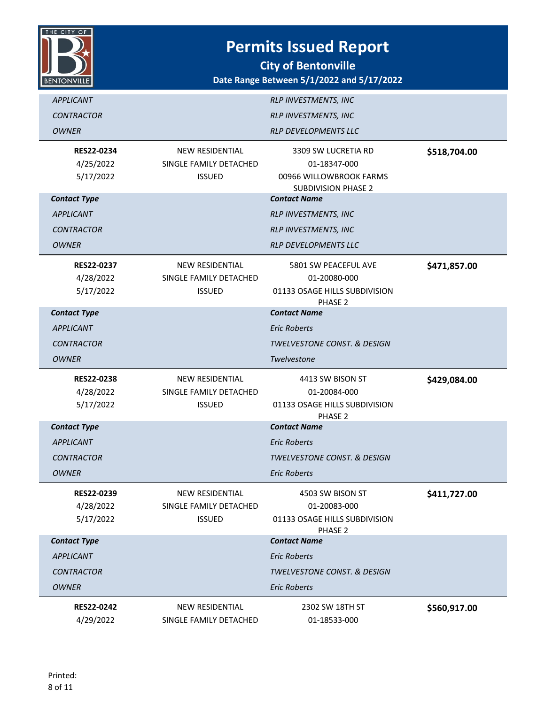

| <b>APPLICANT</b>                            |                                                                   | RLP INVESTMENTS, INC                                                                         |              |
|---------------------------------------------|-------------------------------------------------------------------|----------------------------------------------------------------------------------------------|--------------|
| <b>CONTRACTOR</b>                           |                                                                   | RLP INVESTMENTS, INC                                                                         |              |
| <b>OWNER</b>                                |                                                                   | RLP DEVELOPMENTS LLC                                                                         |              |
| RES22-0234<br>4/25/2022<br>5/17/2022        | <b>NEW RESIDENTIAL</b><br>SINGLE FAMILY DETACHED<br><b>ISSUED</b> | 3309 SW LUCRETIA RD<br>01-18347-000<br>00966 WILLOWBROOK FARMS<br><b>SUBDIVISION PHASE 2</b> | \$518,704.00 |
| <b>Contact Type</b>                         |                                                                   | <b>Contact Name</b>                                                                          |              |
| <b>APPLICANT</b>                            |                                                                   | <b>RLP INVESTMENTS, INC</b>                                                                  |              |
| <b>CONTRACTOR</b>                           |                                                                   | <b>RLP INVESTMENTS, INC</b>                                                                  |              |
| <b>OWNER</b>                                |                                                                   | <b>RLP DEVELOPMENTS LLC</b>                                                                  |              |
| <b>RES22-0237</b><br>4/28/2022<br>5/17/2022 | <b>NEW RESIDENTIAL</b><br>SINGLE FAMILY DETACHED<br><b>ISSUED</b> | 5801 SW PEACEFUL AVE<br>01-20080-000<br>01133 OSAGE HILLS SUBDIVISION<br>PHASE 2             | \$471,857.00 |
| <b>Contact Type</b>                         |                                                                   | <b>Contact Name</b>                                                                          |              |
| <b>APPLICANT</b>                            |                                                                   | <b>Eric Roberts</b>                                                                          |              |
| <b>CONTRACTOR</b>                           |                                                                   | TWELVESTONE CONST. & DESIGN                                                                  |              |
| <b>OWNER</b>                                |                                                                   | Twelvestone                                                                                  |              |
| <b>RES22-0238</b><br>4/28/2022              | <b>NEW RESIDENTIAL</b><br>SINGLE FAMILY DETACHED                  | 4413 SW BISON ST<br>01-20084-000                                                             | \$429,084.00 |
| 5/17/2022                                   | <b>ISSUED</b>                                                     | 01133 OSAGE HILLS SUBDIVISION<br>PHASE <sub>2</sub>                                          |              |
| <b>Contact Type</b>                         |                                                                   | <b>Contact Name</b>                                                                          |              |
| <b>APPLICANT</b>                            |                                                                   | <b>Eric Roberts</b>                                                                          |              |
| <b>CONTRACTOR</b>                           |                                                                   | <b>TWELVESTONE CONST. &amp; DESIGN</b>                                                       |              |
| <b>OWNER</b>                                |                                                                   | <b>Eric Roberts</b>                                                                          |              |
| RES22-0239<br>4/28/2022<br>5/17/2022        | NEW RESIDENTIAL<br>SINGLE FAMILY DETACHED<br><b>ISSUED</b>        | 4503 SW BISON ST<br>01-20083-000<br>01133 OSAGE HILLS SUBDIVISION<br>PHASE 2                 | \$411,727.00 |
| <b>Contact Type</b>                         |                                                                   | <b>Contact Name</b>                                                                          |              |
| <b>APPLICANT</b>                            |                                                                   | <b>Eric Roberts</b>                                                                          |              |
| <b>CONTRACTOR</b>                           |                                                                   | <b>TWELVESTONE CONST. &amp; DESIGN</b>                                                       |              |
| <b>OWNER</b>                                |                                                                   | <b>Eric Roberts</b>                                                                          |              |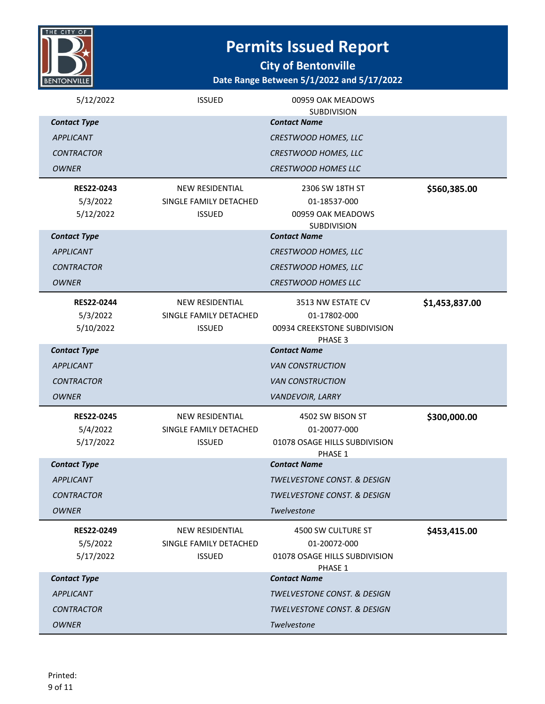

| 5/12/2022                                  | <b>ISSUED</b>                                                     | 00959 OAK MEADOWS<br><b>SUBDIVISION</b>                                        |                |
|--------------------------------------------|-------------------------------------------------------------------|--------------------------------------------------------------------------------|----------------|
| <b>Contact Type</b>                        |                                                                   | <b>Contact Name</b>                                                            |                |
| <b>APPLICANT</b>                           |                                                                   | CRESTWOOD HOMES, LLC                                                           |                |
| <b>CONTRACTOR</b>                          |                                                                   | <b>CRESTWOOD HOMES, LLC</b>                                                    |                |
| <b>OWNER</b>                               |                                                                   | <b>CRESTWOOD HOMES LLC</b>                                                     |                |
| <b>RES22-0243</b><br>5/3/2022<br>5/12/2022 | <b>NEW RESIDENTIAL</b><br>SINGLE FAMILY DETACHED<br><b>ISSUED</b> | 2306 SW 18TH ST<br>01-18537-000<br>00959 OAK MEADOWS<br><b>SUBDIVISION</b>     | \$560,385.00   |
| <b>Contact Type</b>                        |                                                                   | <b>Contact Name</b>                                                            |                |
| <b>APPLICANT</b>                           |                                                                   | CRESTWOOD HOMES, LLC                                                           |                |
| <b>CONTRACTOR</b>                          |                                                                   | CRESTWOOD HOMES, LLC                                                           |                |
| <b>OWNER</b>                               |                                                                   | <b>CRESTWOOD HOMES LLC</b>                                                     |                |
| <b>RES22-0244</b><br>5/3/2022<br>5/10/2022 | <b>NEW RESIDENTIAL</b><br>SINGLE FAMILY DETACHED<br><b>ISSUED</b> | 3513 NW ESTATE CV<br>01-17802-000<br>00934 CREEKSTONE SUBDIVISION<br>PHASE 3   | \$1,453,837.00 |
| <b>Contact Type</b>                        |                                                                   | <b>Contact Name</b>                                                            |                |
| <b>APPLICANT</b>                           |                                                                   | <b>VAN CONSTRUCTION</b>                                                        |                |
| <b>CONTRACTOR</b>                          |                                                                   | <b>VAN CONSTRUCTION</b>                                                        |                |
| OWNER                                      |                                                                   | VANDEVOIR, LARRY                                                               |                |
| <b>RES22-0245</b><br>5/4/2022<br>5/17/2022 | NEW RESIDENTIAL<br>SINGLE FAMILY DETACHED<br><b>ISSUED</b>        | 4502 SW BISON ST<br>01-20077-000<br>01078 OSAGE HILLS SUBDIVISION<br>PHASE 1   | \$300,000.00   |
| <b>Contact Type</b>                        |                                                                   | <b>Contact Name</b>                                                            |                |
| <b>APPLICANT</b>                           |                                                                   | <b>TWELVESTONE CONST. &amp; DESIGN</b>                                         |                |
| <i>CONTRACTOR</i>                          |                                                                   | <b>TWELVESTONE CONST. &amp; DESIGN</b>                                         |                |
| <b>OWNER</b>                               |                                                                   | Twelvestone                                                                    |                |
| <b>RES22-0249</b><br>5/5/2022<br>5/17/2022 | <b>NEW RESIDENTIAL</b><br>SINGLE FAMILY DETACHED<br><b>ISSUED</b> | 4500 SW CULTURE ST<br>01-20072-000<br>01078 OSAGE HILLS SUBDIVISION<br>PHASE 1 | \$453,415.00   |
| <b>Contact Type</b>                        |                                                                   | <b>Contact Name</b>                                                            |                |
| <b>APPLICANT</b>                           |                                                                   | <b>TWELVESTONE CONST. &amp; DESIGN</b>                                         |                |
| <b>CONTRACTOR</b>                          |                                                                   | <b>TWELVESTONE CONST. &amp; DESIGN</b>                                         |                |
| <b>OWNER</b>                               |                                                                   | Twelvestone                                                                    |                |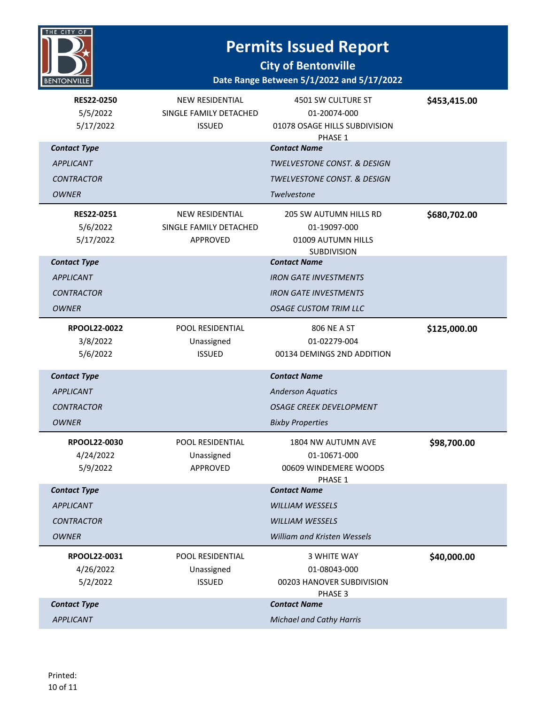

| RES22-0250<br>5/5/2022<br>5/17/2022 | NEW RESIDENTIAL<br>SINGLE FAMILY DETACHED<br><b>ISSUED</b> | 4501 SW CULTURE ST<br>01-20074-000<br>01078 OSAGE HILLS SUBDIVISION<br>PHASE 1 | \$453,415.00 |
|-------------------------------------|------------------------------------------------------------|--------------------------------------------------------------------------------|--------------|
| <b>Contact Type</b>                 |                                                            | <b>Contact Name</b>                                                            |              |
| <b>APPLICANT</b>                    |                                                            | <b>TWELVESTONE CONST. &amp; DESIGN</b>                                         |              |
| <b>CONTRACTOR</b>                   |                                                            | TWELVESTONE CONST. & DESIGN                                                    |              |
| <b>OWNER</b>                        |                                                            | Twelvestone                                                                    |              |
| RES22-0251                          | <b>NEW RESIDENTIAL</b>                                     | <b>205 SW AUTUMN HILLS RD</b>                                                  | \$680,702.00 |
| 5/6/2022                            | SINGLE FAMILY DETACHED                                     | 01-19097-000                                                                   |              |
| 5/17/2022                           | APPROVED                                                   | 01009 AUTUMN HILLS                                                             |              |
| <b>Contact Type</b>                 |                                                            | <b>SUBDIVISION</b><br><b>Contact Name</b>                                      |              |
| <b>APPLICANT</b>                    |                                                            | <b>IRON GATE INVESTMENTS</b>                                                   |              |
| <b>CONTRACTOR</b>                   |                                                            | <b>IRON GATE INVESTMENTS</b>                                                   |              |
| <b>OWNER</b>                        |                                                            | <b>OSAGE CUSTOM TRIM LLC</b>                                                   |              |
| RPOOL22-0022                        | POOL RESIDENTIAL                                           | <b>806 NE A ST</b>                                                             | \$125,000.00 |
| 3/8/2022                            | Unassigned                                                 | 01-02279-004                                                                   |              |
| 5/6/2022                            | <b>ISSUED</b>                                              | 00134 DEMINGS 2ND ADDITION                                                     |              |
| <b>Contact Type</b>                 |                                                            | <b>Contact Name</b>                                                            |              |
| <b>APPLICANT</b>                    |                                                            | <b>Anderson Aquatics</b>                                                       |              |
| <b>CONTRACTOR</b>                   |                                                            | <b>OSAGE CREEK DEVELOPMENT</b>                                                 |              |
| <b>OWNER</b>                        |                                                            | <b>Bixby Properties</b>                                                        |              |
| RPOOL22-0030                        | POOL RESIDENTIAL                                           | 1804 NW AUTUMN AVE                                                             | \$98,700.00  |
| 4/24/2022                           | Unassigned                                                 | 01-10671-000                                                                   |              |
| 5/9/2022                            | APPROVED                                                   | 00609 WINDEMERE WOODS<br>PHASE 1                                               |              |
| <b>Contact Type</b>                 |                                                            | <b>Contact Name</b>                                                            |              |
| <b>APPLICANT</b>                    |                                                            | <b>WILLIAM WESSELS</b>                                                         |              |
| <b>CONTRACTOR</b>                   |                                                            | <b>WILLIAM WESSELS</b>                                                         |              |
| <b>OWNER</b>                        |                                                            | William and Kristen Wessels                                                    |              |
| RPOOL22-0031                        | POOL RESIDENTIAL                                           | <b>3 WHITE WAY</b>                                                             | \$40,000.00  |
| 4/26/2022                           |                                                            |                                                                                |              |
|                                     | Unassigned                                                 | 01-08043-000                                                                   |              |
| 5/2/2022                            | <b>ISSUED</b>                                              | 00203 HANOVER SUBDIVISION                                                      |              |
| <b>Contact Type</b>                 |                                                            | PHASE 3<br><b>Contact Name</b>                                                 |              |